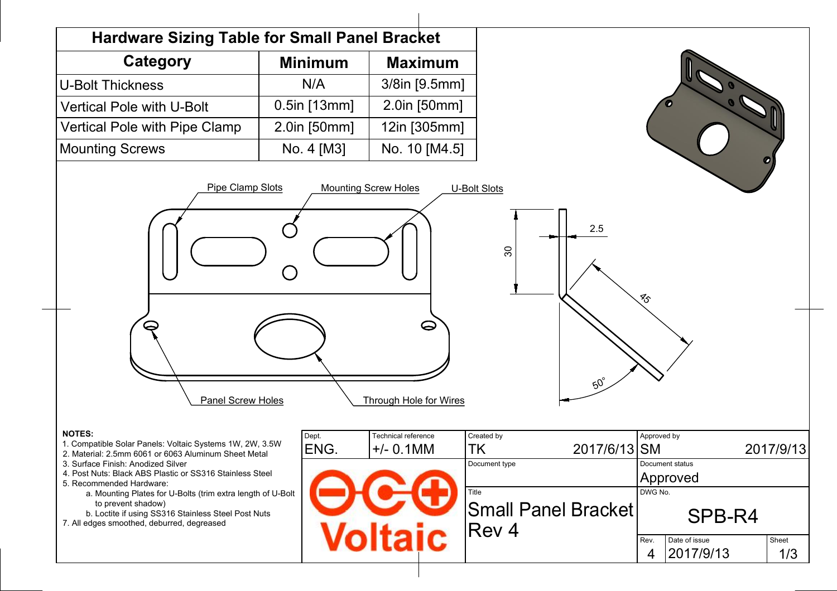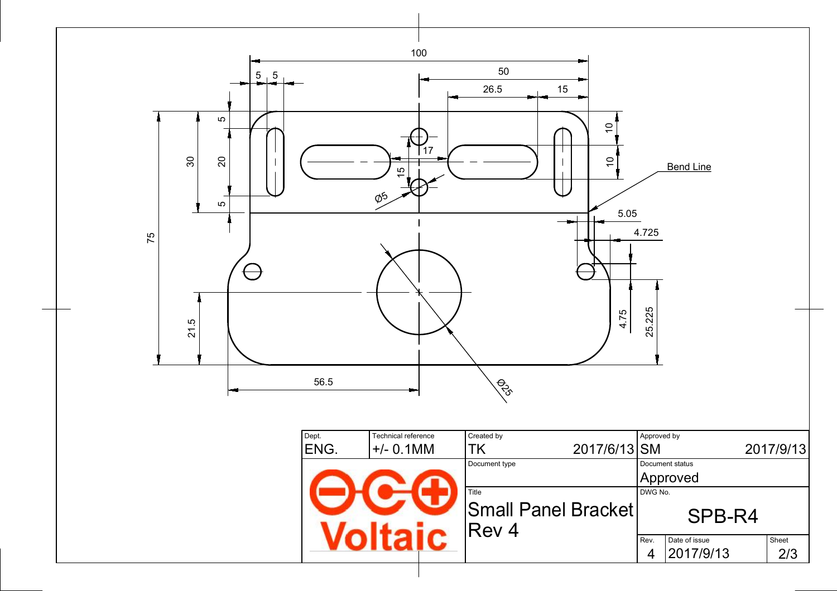